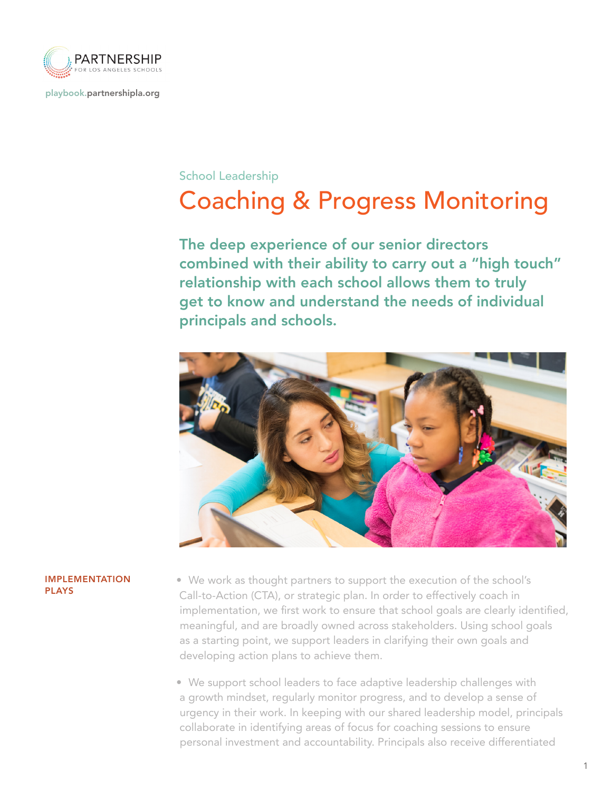

[playbook.partnershipla.org](http://playbook.partnershipla.org)

## School Leadership

## Coaching & Progress Monitoring

The deep experience of our senior directors combined with their ability to carry out a "high touch" relationship with each school allows them to truly get to know and understand the needs of individual principals and schools.



## IMPLEMENTATION PLAYS

• We work as thought partners to support the execution of the school's Call-to-Action (CTA), or strategic plan. In order to effectively coach in implementation, we first work to ensure that school goals are clearly identified, meaningful, and are broadly owned across stakeholders. Using school goals as a starting point, we support leaders in clarifying their own goals and developing action plans to achieve them.

• We support school leaders to face adaptive leadership challenges with a growth mindset, regularly monitor progress, and to develop a sense of urgency in their work. In keeping with our shared leadership model, principals collaborate in identifying areas of focus for coaching sessions to ensure personal investment and accountability. Principals also receive differentiated